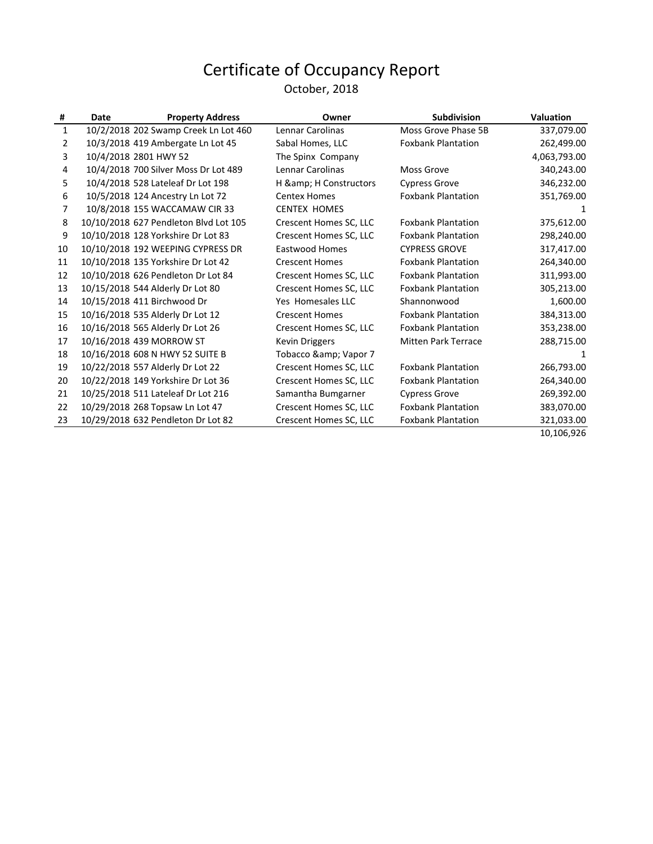#### October, 2018

| #              | Date | <b>Property Address</b>               | Owner                  | <b>Subdivision</b>         | <b>Valuation</b> |
|----------------|------|---------------------------------------|------------------------|----------------------------|------------------|
| $\mathbf{1}$   |      | 10/2/2018 202 Swamp Creek Ln Lot 460  | Lennar Carolinas       | Moss Grove Phase 5B        | 337,079.00       |
| $\overline{2}$ |      | 10/3/2018 419 Ambergate Ln Lot 45     | Sabal Homes, LLC       | <b>Foxbank Plantation</b>  | 262,499.00       |
| 3              |      | 10/4/2018 2801 HWY 52                 | The Spinx Company      |                            | 4,063,793.00     |
| 4              |      | 10/4/2018 700 Silver Moss Dr Lot 489  | Lennar Carolinas       | Moss Grove                 | 340,243.00       |
| 5              |      | 10/4/2018 528 Lateleaf Dr Lot 198     | H & H Constructors     | <b>Cypress Grove</b>       | 346,232.00       |
| 6              |      | 10/5/2018 124 Ancestry Ln Lot 72      | <b>Centex Homes</b>    | <b>Foxbank Plantation</b>  | 351,769.00       |
| 7              |      | 10/8/2018 155 WACCAMAW CIR 33         | <b>CENTEX HOMES</b>    |                            | 1                |
| 8              |      | 10/10/2018 627 Pendleton Blvd Lot 105 | Crescent Homes SC, LLC | <b>Foxbank Plantation</b>  | 375,612.00       |
| 9              |      | 10/10/2018 128 Yorkshire Dr Lot 83    | Crescent Homes SC, LLC | <b>Foxbank Plantation</b>  | 298,240.00       |
| 10             |      | 10/10/2018 192 WEEPING CYPRESS DR     | Eastwood Homes         | <b>CYPRESS GROVE</b>       | 317,417.00       |
| 11             |      | 10/10/2018 135 Yorkshire Dr Lot 42    | <b>Crescent Homes</b>  | <b>Foxbank Plantation</b>  | 264,340.00       |
| 12             |      | 10/10/2018 626 Pendleton Dr Lot 84    | Crescent Homes SC, LLC | <b>Foxbank Plantation</b>  | 311,993.00       |
| 13             |      | 10/15/2018 544 Alderly Dr Lot 80      | Crescent Homes SC, LLC | <b>Foxbank Plantation</b>  | 305,213.00       |
| 14             |      | 10/15/2018 411 Birchwood Dr           | Yes Homesales LLC      | Shannonwood                | 1,600.00         |
| 15             |      | 10/16/2018 535 Alderly Dr Lot 12      | <b>Crescent Homes</b>  | <b>Foxbank Plantation</b>  | 384,313.00       |
| 16             |      | 10/16/2018 565 Alderly Dr Lot 26      | Crescent Homes SC, LLC | <b>Foxbank Plantation</b>  | 353,238.00       |
| 17             |      | 10/16/2018 439 MORROW ST              | Kevin Driggers         | <b>Mitten Park Terrace</b> | 288,715.00       |
| 18             |      | 10/16/2018 608 N HWY 52 SUITE B       | Tobacco & Vapor 7      |                            | 1                |
| 19             |      | 10/22/2018 557 Alderly Dr Lot 22      | Crescent Homes SC, LLC | <b>Foxbank Plantation</b>  | 266,793.00       |
| 20             |      | 10/22/2018 149 Yorkshire Dr Lot 36    | Crescent Homes SC, LLC | <b>Foxbank Plantation</b>  | 264,340.00       |
| 21             |      | 10/25/2018 511 Lateleaf Dr Lot 216    | Samantha Bumgarner     | <b>Cypress Grove</b>       | 269,392.00       |
| 22             |      | 10/29/2018 268 Topsaw Ln Lot 47       | Crescent Homes SC, LLC | <b>Foxbank Plantation</b>  | 383,070.00       |
| 23             |      | 10/29/2018 632 Pendleton Dr Lot 82    | Crescent Homes SC, LLC | <b>Foxbank Plantation</b>  | 321,033.00       |
|                |      |                                       |                        |                            | 10 106 926       |

10,106,926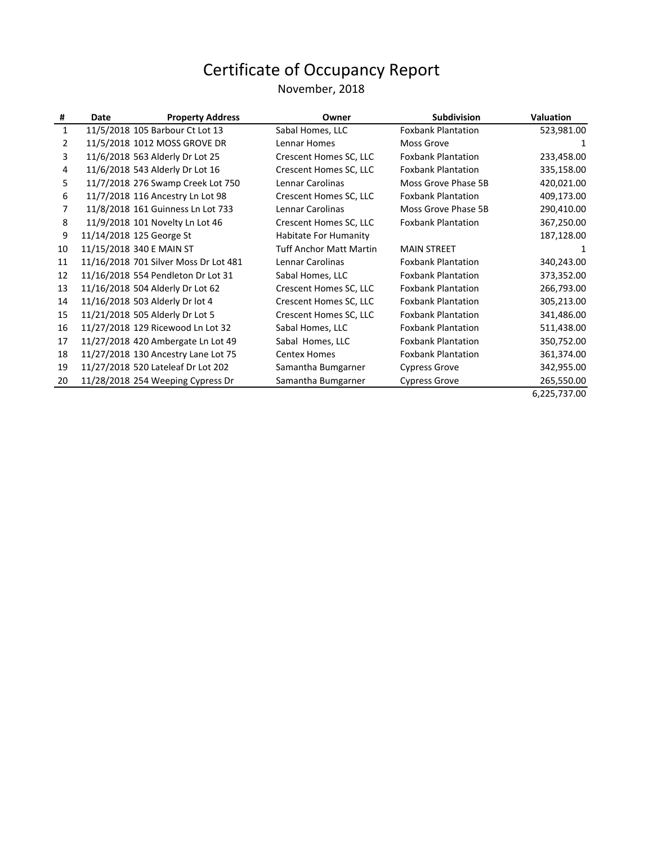#### November, 2018

| #  | Date | <b>Property Address</b>               | Owner                          | <b>Subdivision</b>        | <b>Valuation</b> |
|----|------|---------------------------------------|--------------------------------|---------------------------|------------------|
| 1  |      | 11/5/2018 105 Barbour Ct Lot 13       | Sabal Homes, LLC               | <b>Foxbank Plantation</b> | 523,981.00       |
| 2  |      | 11/5/2018 1012 MOSS GROVE DR          | Lennar Homes                   | Moss Grove                | 1                |
| 3  |      | 11/6/2018 563 Alderly Dr Lot 25       | Crescent Homes SC, LLC         | <b>Foxbank Plantation</b> | 233,458.00       |
| 4  |      | 11/6/2018 543 Alderly Dr Lot 16       | Crescent Homes SC, LLC         | <b>Foxbank Plantation</b> | 335,158.00       |
| 5  |      | 11/7/2018 276 Swamp Creek Lot 750     | Lennar Carolinas               | Moss Grove Phase 5B       | 420,021.00       |
| 6  |      | 11/7/2018 116 Ancestry Ln Lot 98      | Crescent Homes SC, LLC         | <b>Foxbank Plantation</b> | 409,173.00       |
| 7  |      | 11/8/2018 161 Guinness Ln Lot 733     | Lennar Carolinas               | Moss Grove Phase 5B       | 290,410.00       |
| 8  |      | 11/9/2018 101 Novelty Ln Lot 46       | Crescent Homes SC, LLC         | <b>Foxbank Plantation</b> | 367,250.00       |
| 9  |      | 11/14/2018 125 George St              | Habitate For Humanity          |                           | 187,128.00       |
| 10 |      | 11/15/2018 340 E MAIN ST              | <b>Tuff Anchor Matt Martin</b> | <b>MAIN STREET</b>        | 1                |
| 11 |      | 11/16/2018 701 Silver Moss Dr Lot 481 | Lennar Carolinas               | <b>Foxbank Plantation</b> | 340,243.00       |
| 12 |      | 11/16/2018 554 Pendleton Dr Lot 31    | Sabal Homes, LLC               | <b>Foxbank Plantation</b> | 373,352.00       |
| 13 |      | 11/16/2018 504 Alderly Dr Lot 62      | Crescent Homes SC, LLC         | <b>Foxbank Plantation</b> | 266,793.00       |
| 14 |      | 11/16/2018 503 Alderly Dr lot 4       | Crescent Homes SC, LLC         | <b>Foxbank Plantation</b> | 305,213.00       |
| 15 |      | 11/21/2018 505 Alderly Dr Lot 5       | Crescent Homes SC, LLC         | <b>Foxbank Plantation</b> | 341,486.00       |
| 16 |      | 11/27/2018 129 Ricewood Ln Lot 32     | Sabal Homes, LLC               | <b>Foxbank Plantation</b> | 511,438.00       |
| 17 |      | 11/27/2018 420 Ambergate Ln Lot 49    | Sabal Homes, LLC               | <b>Foxbank Plantation</b> | 350,752.00       |
| 18 |      | 11/27/2018 130 Ancestry Lane Lot 75   | <b>Centex Homes</b>            | <b>Foxbank Plantation</b> | 361,374.00       |
| 19 |      | 11/27/2018 520 Lateleaf Dr Lot 202    | Samantha Bumgarner             | <b>Cypress Grove</b>      | 342,955.00       |
| 20 |      | 11/28/2018 254 Weeping Cypress Dr     | Samantha Bumgarner             | <b>Cypress Grove</b>      | 265,550.00       |

6,225,737.00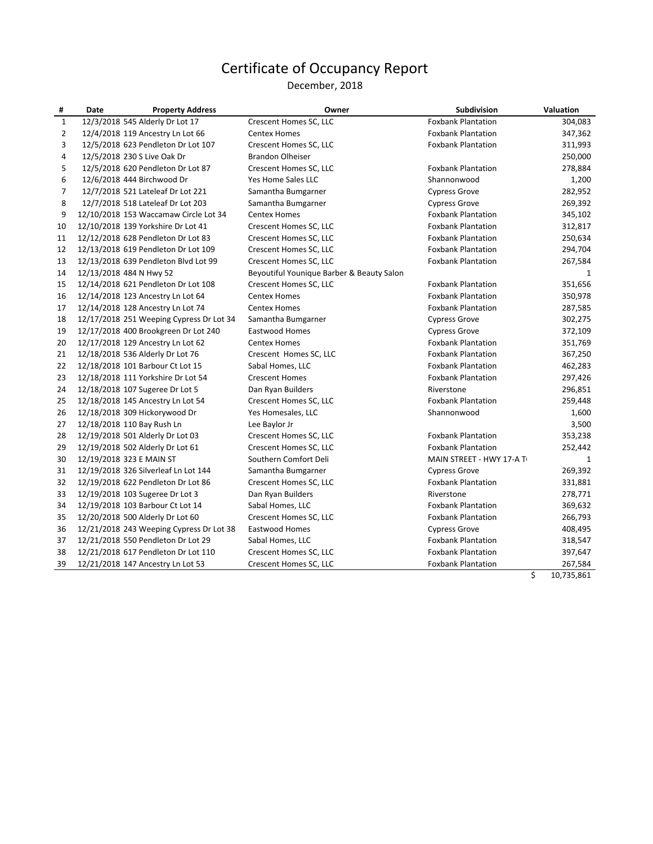December, 2018

| #            | Date | <b>Property Address</b>                  | Owner                                     | Subdivision               | Valuation    |
|--------------|------|------------------------------------------|-------------------------------------------|---------------------------|--------------|
| $\mathbf{1}$ |      | 12/3/2018 545 Alderly Dr Lot 17          | Crescent Homes SC, LLC                    | <b>Foxbank Plantation</b> | 304,083      |
| 2            |      | 12/4/2018 119 Ancestry Ln Lot 66         | <b>Centex Homes</b>                       | <b>Foxbank Plantation</b> | 347,362      |
| 3            |      | 12/5/2018 623 Pendleton Dr Lot 107       | Crescent Homes SC, LLC                    | <b>Foxbank Plantation</b> | 311,993      |
| 4            |      | 12/5/2018 230 S Live Oak Dr              | <b>Brandon Olheiser</b>                   |                           | 250,000      |
| 5            |      | 12/5/2018 620 Pendleton Dr Lot 87        | Crescent Homes SC, LLC                    | <b>Foxbank Plantation</b> | 278,884      |
| 6            |      | 12/6/2018 444 Birchwood Dr               | Yes Home Sales LLC                        | Shannonwood               | 1,200        |
| 7            |      | 12/7/2018 521 Lateleaf Dr Lot 221        | Samantha Bumgarner                        | <b>Cypress Grove</b>      | 282,952      |
| 8            |      | 12/7/2018 518 Lateleaf Dr Lot 203        | Samantha Bumgarner                        | <b>Cypress Grove</b>      | 269,392      |
| 9            |      | 12/10/2018 153 Waccamaw Circle Lot 34    | <b>Centex Homes</b>                       | <b>Foxbank Plantation</b> | 345,102      |
| 10           |      | 12/10/2018 139 Yorkshire Dr Lot 41       | Crescent Homes SC, LLC                    | <b>Foxbank Plantation</b> | 312,817      |
| 11           |      | 12/12/2018 628 Pendleton Dr Lot 83       | Crescent Homes SC, LLC                    | <b>Foxbank Plantation</b> | 250,634      |
| 12           |      | 12/13/2018 619 Pendleton Dr Lot 109      | Crescent Homes SC, LLC                    | <b>Foxbank Plantation</b> | 294,704      |
| 13           |      | 12/13/2018 639 Pendleton Blvd Lot 99     | Crescent Homes SC, LLC                    | <b>Foxbank Plantation</b> | 267,584      |
| 14           |      | 12/13/2018 484 N Hwy 52                  | Beyoutiful Younique Barber & Beauty Salon |                           | 1            |
| 15           |      | 12/14/2018 621 Pendleton Dr Lot 108      | Crescent Homes SC, LLC                    | <b>Foxbank Plantation</b> | 351,656      |
| 16           |      | 12/14/2018 123 Ancestry Ln Lot 64        | <b>Centex Homes</b>                       | <b>Foxbank Plantation</b> | 350,978      |
| 17           |      | 12/14/2018 128 Ancestry Ln Lot 74        | <b>Centex Homes</b>                       | <b>Foxbank Plantation</b> | 287,585      |
| 18           |      | 12/17/2018 251 Weeping Cypress Dr Lot 34 | Samantha Bumgarner                        | <b>Cypress Grove</b>      | 302,275      |
| 19           |      | 12/17/2018 400 Brookgreen Dr Lot 240     | <b>Eastwood Homes</b>                     | <b>Cypress Grove</b>      | 372,109      |
| 20           |      | 12/17/2018 129 Ancestry Ln Lot 62        | <b>Centex Homes</b>                       | <b>Foxbank Plantation</b> | 351,769      |
| 21           |      | 12/18/2018 536 Alderly Dr Lot 76         | Crescent Homes SC, LLC                    | <b>Foxbank Plantation</b> | 367,250      |
| 22           |      | 12/18/2018 101 Barbour Ct Lot 15         | Sabal Homes, LLC                          | <b>Foxbank Plantation</b> | 462,283      |
| 23           |      | 12/18/2018 111 Yorkshire Dr Lot 54       | <b>Crescent Homes</b>                     | <b>Foxbank Plantation</b> | 297,426      |
| 24           |      | 12/18/2018 107 Sugeree Dr Lot 5          | Dan Ryan Builders                         | Riverstone                | 296,851      |
| 25           |      | 12/18/2018 145 Ancestry Ln Lot 54        | Crescent Homes SC, LLC                    | <b>Foxbank Plantation</b> | 259,448      |
| 26           |      | 12/18/2018 309 Hickorywood Dr            | Yes Homesales, LLC                        | Shannonwood               | 1,600        |
| 27           |      | 12/18/2018 110 Bay Rush Ln               | Lee Baylor Jr                             |                           | 3,500        |
| 28           |      | 12/19/2018 501 Alderly Dr Lot 03         | Crescent Homes SC, LLC                    | <b>Foxbank Plantation</b> | 353,238      |
| 29           |      | 12/19/2018 502 Alderly Dr Lot 61         | Crescent Homes SC, LLC                    | <b>Foxbank Plantation</b> | 252,442      |
| 30           |      | 12/19/2018 323 E MAIN ST                 | Southern Comfort Deli                     | MAIN STREET - HWY 17-A T  | $\mathbf{1}$ |
| 31           |      | 12/19/2018 326 Silverleaf Ln Lot 144     | Samantha Bumgarner                        | <b>Cypress Grove</b>      | 269,392      |
| 32           |      | 12/19/2018 622 Pendleton Dr Lot 86       | Crescent Homes SC, LLC                    | <b>Foxbank Plantation</b> | 331,881      |
| 33           |      | 12/19/2018 103 Sugeree Dr Lot 3          | Dan Ryan Builders                         | Riverstone                | 278,771      |
| 34           |      | 12/19/2018 103 Barbour Ct Lot 14         | Sabal Homes, LLC                          | <b>Foxbank Plantation</b> | 369,632      |
| 35           |      | 12/20/2018 500 Alderly Dr Lot 60         | Crescent Homes SC, LLC                    | <b>Foxbank Plantation</b> | 266,793      |
| 36           |      | 12/21/2018 243 Weeping Cypress Dr Lot 38 | <b>Eastwood Homes</b>                     | <b>Cypress Grove</b>      | 408,495      |
| 37           |      | 12/21/2018 550 Pendleton Dr Lot 29       | Sabal Homes, LLC                          | <b>Foxbank Plantation</b> | 318,547      |
| 38           |      | 12/21/2018 617 Pendleton Dr Lot 110      | Crescent Homes SC, LLC                    | <b>Foxbank Plantation</b> | 397,647      |
| 39           |      | 12/21/2018 147 Ancestry Ln Lot 53        | Crescent Homes SC, LLC                    | <b>Foxbank Plantation</b> | 267,584      |

 $\frac{10,735,861}{9}$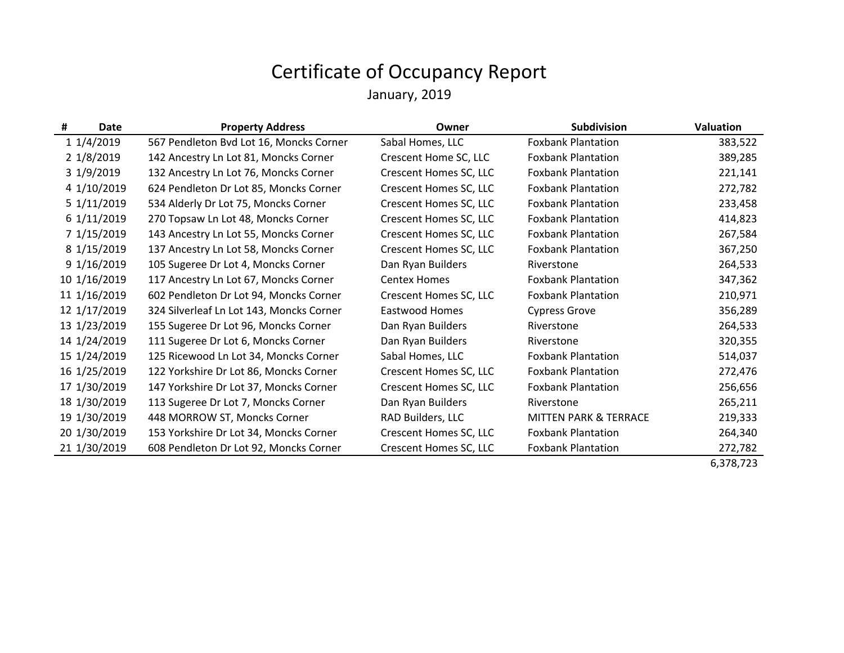#### Certificate of Occupancy Report January, 2019

| #            | Date         | <b>Property Address</b>                  | Owner                  | Subdivision                      | <b>Valuation</b> |
|--------------|--------------|------------------------------------------|------------------------|----------------------------------|------------------|
|              | 1 1/4/2019   | 567 Pendleton Bvd Lot 16, Moncks Corner  | Sabal Homes, LLC       | <b>Foxbank Plantation</b>        | 383,522          |
|              | 2 1/8/2019   | 142 Ancestry Ln Lot 81, Moncks Corner    | Crescent Home SC, LLC  | <b>Foxbank Plantation</b>        | 389,285          |
|              | 3 1/9/2019   | 132 Ancestry Ln Lot 76, Moncks Corner    | Crescent Homes SC, LLC | <b>Foxbank Plantation</b>        | 221,141          |
|              | 4 1/10/2019  | 624 Pendleton Dr Lot 85, Moncks Corner   | Crescent Homes SC, LLC | <b>Foxbank Plantation</b>        | 272,782          |
|              | 5 1/11/2019  | 534 Alderly Dr Lot 75, Moncks Corner     | Crescent Homes SC, LLC | <b>Foxbank Plantation</b>        | 233,458          |
|              | 6 1/11/2019  | 270 Topsaw Ln Lot 48, Moncks Corner      | Crescent Homes SC, LLC | <b>Foxbank Plantation</b>        | 414,823          |
|              | 7 1/15/2019  | 143 Ancestry Ln Lot 55, Moncks Corner    | Crescent Homes SC, LLC | <b>Foxbank Plantation</b>        | 267,584          |
|              | 8 1/15/2019  | 137 Ancestry Ln Lot 58, Moncks Corner    | Crescent Homes SC, LLC | <b>Foxbank Plantation</b>        | 367,250          |
|              | 9 1/16/2019  | 105 Sugeree Dr Lot 4, Moncks Corner      | Dan Ryan Builders      | Riverstone                       | 264,533          |
| 10 1/16/2019 |              | 117 Ancestry Ln Lot 67, Moncks Corner    | <b>Centex Homes</b>    | <b>Foxbank Plantation</b>        | 347,362          |
|              | 11 1/16/2019 | 602 Pendleton Dr Lot 94, Moncks Corner   | Crescent Homes SC, LLC | <b>Foxbank Plantation</b>        | 210,971          |
|              | 12 1/17/2019 | 324 Silverleaf Ln Lot 143, Moncks Corner | Eastwood Homes         | <b>Cypress Grove</b>             | 356,289          |
|              | 13 1/23/2019 | 155 Sugeree Dr Lot 96, Moncks Corner     | Dan Ryan Builders      | Riverstone                       | 264,533          |
|              | 14 1/24/2019 | 111 Sugeree Dr Lot 6, Moncks Corner      | Dan Ryan Builders      | Riverstone                       | 320,355          |
|              | 15 1/24/2019 | 125 Ricewood Ln Lot 34, Moncks Corner    | Sabal Homes, LLC       | <b>Foxbank Plantation</b>        | 514,037          |
|              | 16 1/25/2019 | 122 Yorkshire Dr Lot 86, Moncks Corner   | Crescent Homes SC, LLC | <b>Foxbank Plantation</b>        | 272,476          |
|              | 17 1/30/2019 | 147 Yorkshire Dr Lot 37, Moncks Corner   | Crescent Homes SC, LLC | <b>Foxbank Plantation</b>        | 256,656          |
|              | 18 1/30/2019 | 113 Sugeree Dr Lot 7, Moncks Corner      | Dan Ryan Builders      | Riverstone                       | 265,211          |
|              | 19 1/30/2019 | 448 MORROW ST, Moncks Corner             | RAD Builders, LLC      | <b>MITTEN PARK &amp; TERRACE</b> | 219,333          |
|              | 20 1/30/2019 | 153 Yorkshire Dr Lot 34, Moncks Corner   | Crescent Homes SC, LLC | <b>Foxbank Plantation</b>        | 264,340          |
|              | 21 1/30/2019 | 608 Pendleton Dr Lot 92, Moncks Corner   | Crescent Homes SC, LLC | <b>Foxbank Plantation</b>        | 272,782          |
|              |              |                                          |                        |                                  | 6,378,723        |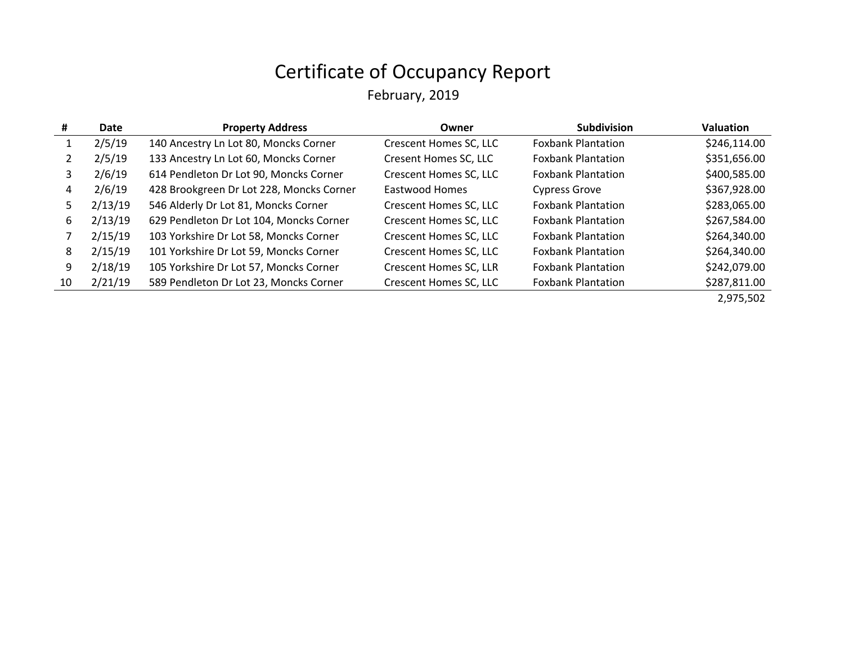February, 2019

| #  | Date    | <b>Property Address</b>                  | Owner                  | <b>Subdivision</b>        | <b>Valuation</b> |
|----|---------|------------------------------------------|------------------------|---------------------------|------------------|
|    | 2/5/19  | 140 Ancestry Ln Lot 80, Moncks Corner    | Crescent Homes SC, LLC | <b>Foxbank Plantation</b> | \$246,114.00     |
|    | 2/5/19  | 133 Ancestry Ln Lot 60, Moncks Corner    | Cresent Homes SC, LLC  | <b>Foxbank Plantation</b> | \$351,656.00     |
| 3  | 2/6/19  | 614 Pendleton Dr Lot 90, Moncks Corner   | Crescent Homes SC, LLC | <b>Foxbank Plantation</b> | \$400,585.00     |
| 4  | 2/6/19  | 428 Brookgreen Dr Lot 228, Moncks Corner | <b>Eastwood Homes</b>  | <b>Cypress Grove</b>      | \$367,928.00     |
| 5  | 2/13/19 | 546 Alderly Dr Lot 81, Moncks Corner     | Crescent Homes SC, LLC | <b>Foxbank Plantation</b> | \$283,065.00     |
| 6  | 2/13/19 | 629 Pendleton Dr Lot 104, Moncks Corner  | Crescent Homes SC, LLC | <b>Foxbank Plantation</b> | \$267,584.00     |
|    | 2/15/19 | 103 Yorkshire Dr Lot 58, Moncks Corner   | Crescent Homes SC, LLC | <b>Foxbank Plantation</b> | \$264,340.00     |
| 8  | 2/15/19 | 101 Yorkshire Dr Lot 59, Moncks Corner   | Crescent Homes SC, LLC | <b>Foxbank Plantation</b> | \$264,340.00     |
| 9  | 2/18/19 | 105 Yorkshire Dr Lot 57, Moncks Corner   | Crescent Homes SC, LLR | <b>Foxbank Plantation</b> | \$242,079.00     |
| 10 | 2/21/19 | 589 Pendleton Dr Lot 23, Moncks Corner   | Crescent Homes SC, LLC | <b>Foxbank Plantation</b> | \$287,811.00     |
|    |         |                                          |                        |                           | 2,975,502        |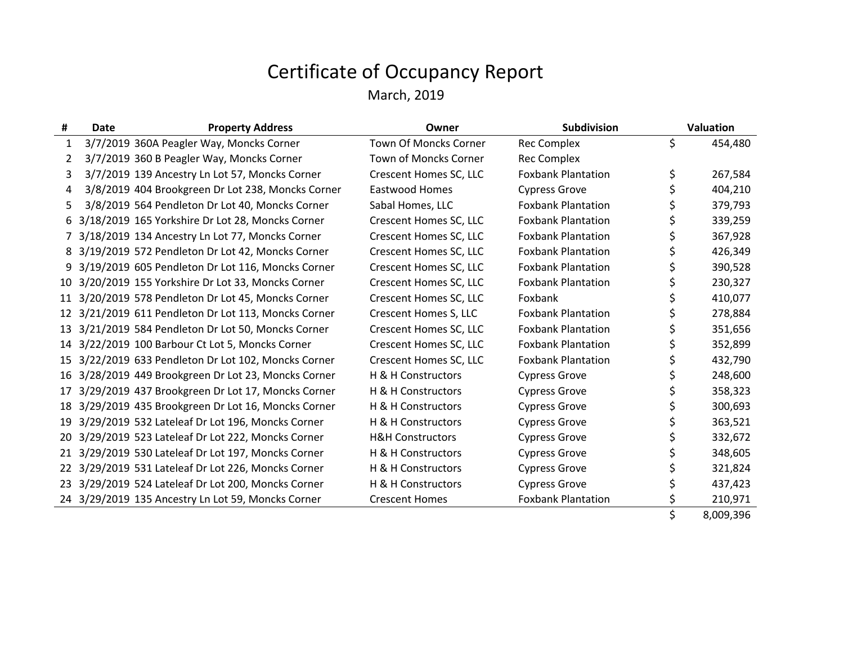| #            | <b>Property Address</b><br>Date                    | Owner                       | Subdivision               | <b>Valuation</b> |
|--------------|----------------------------------------------------|-----------------------------|---------------------------|------------------|
| $\mathbf{1}$ | 3/7/2019 360A Peagler Way, Moncks Corner           | Town Of Moncks Corner       | <b>Rec Complex</b>        | \$<br>454,480    |
| 2            | 3/7/2019 360 B Peagler Way, Moncks Corner          | Town of Moncks Corner       | <b>Rec Complex</b>        |                  |
| 3            | 3/7/2019 139 Ancestry Ln Lot 57, Moncks Corner     | Crescent Homes SC, LLC      | <b>Foxbank Plantation</b> | \$<br>267,584    |
| 4            | 3/8/2019 404 Brookgreen Dr Lot 238, Moncks Corner  | Eastwood Homes              | <b>Cypress Grove</b>      | 404,210          |
| 5.           | 3/8/2019 564 Pendleton Dr Lot 40, Moncks Corner    | Sabal Homes, LLC            | <b>Foxbank Plantation</b> | 379,793          |
| 6            | 3/18/2019 165 Yorkshire Dr Lot 28, Moncks Corner   | Crescent Homes SC, LLC      | <b>Foxbank Plantation</b> | 339,259          |
|              | 3/18/2019 134 Ancestry Ln Lot 77, Moncks Corner    | Crescent Homes SC, LLC      | <b>Foxbank Plantation</b> | 367,928          |
| 8            | 3/19/2019 572 Pendleton Dr Lot 42, Moncks Corner   | Crescent Homes SC, LLC      | <b>Foxbank Plantation</b> | 426,349          |
| 9            | 3/19/2019 605 Pendleton Dr Lot 116, Moncks Corner  | Crescent Homes SC, LLC      | <b>Foxbank Plantation</b> | 390,528          |
| 10           | 3/20/2019 155 Yorkshire Dr Lot 33, Moncks Corner   | Crescent Homes SC, LLC      | <b>Foxbank Plantation</b> | 230,327          |
| 11           | 3/20/2019 578 Pendleton Dr Lot 45, Moncks Corner   | Crescent Homes SC, LLC      | Foxbank                   | 410,077          |
|              | 3/21/2019 611 Pendleton Dr Lot 113, Moncks Corner  | Crescent Homes S, LLC       | <b>Foxbank Plantation</b> | 278,884          |
| 13           | 3/21/2019 584 Pendleton Dr Lot 50, Moncks Corner   | Crescent Homes SC, LLC      | <b>Foxbank Plantation</b> | 351,656          |
| 14           | 3/22/2019 100 Barbour Ct Lot 5, Moncks Corner      | Crescent Homes SC, LLC      | <b>Foxbank Plantation</b> | 352,899          |
| 15           | 3/22/2019 633 Pendleton Dr Lot 102, Moncks Corner  | Crescent Homes SC, LLC      | <b>Foxbank Plantation</b> | 432,790          |
| 16           | 3/28/2019 449 Brookgreen Dr Lot 23, Moncks Corner  | H & H Constructors          | <b>Cypress Grove</b>      | 248,600          |
| 17           | 3/29/2019 437 Brookgreen Dr Lot 17, Moncks Corner  | H & H Constructors          | <b>Cypress Grove</b>      | 358,323          |
| 18           | 3/29/2019 435 Brookgreen Dr Lot 16, Moncks Corner  | H & H Constructors          | <b>Cypress Grove</b>      | 300,693          |
| 19           | 3/29/2019 532 Lateleaf Dr Lot 196, Moncks Corner   | H & H Constructors          | <b>Cypress Grove</b>      | 363,521          |
| 20           | 3/29/2019 523 Lateleaf Dr Lot 222, Moncks Corner   | <b>H&amp;H Constructors</b> | <b>Cypress Grove</b>      | 332,672          |
|              | 3/29/2019 530 Lateleaf Dr Lot 197, Moncks Corner   | H & H Constructors          | <b>Cypress Grove</b>      | 348,605          |
| 22           | 3/29/2019 531 Lateleaf Dr Lot 226, Moncks Corner   | H & H Constructors          | <b>Cypress Grove</b>      | 321,824          |
| 23           | 3/29/2019 524 Lateleaf Dr Lot 200, Moncks Corner   | H & H Constructors          | <b>Cypress Grove</b>      | 437,423          |
|              | 24 3/29/2019 135 Ancestry Ln Lot 59, Moncks Corner | <b>Crescent Homes</b>       | <b>Foxbank Plantation</b> | 210,971          |
|              |                                                    |                             |                           | \$<br>8,009,396  |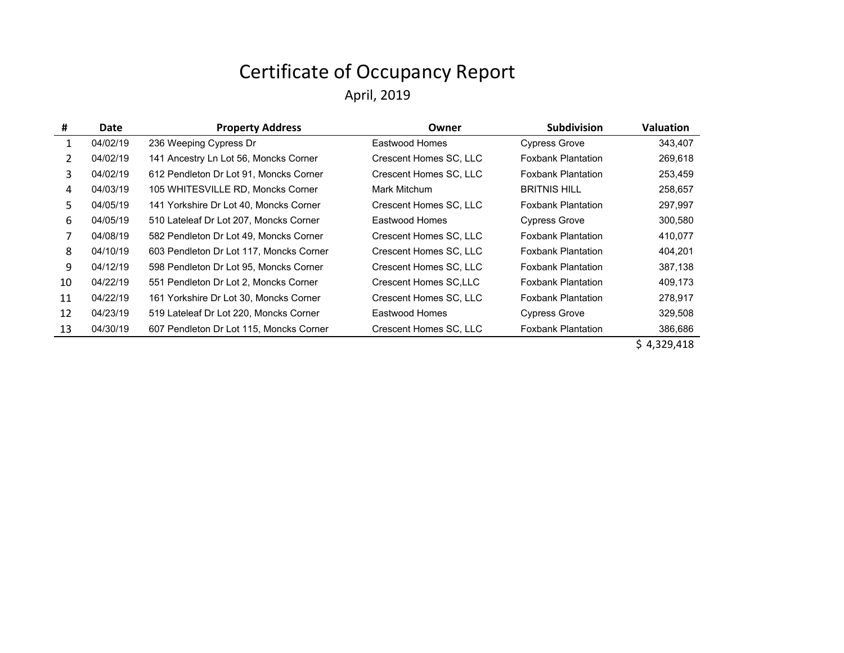| #  | Date     | <b>Property Address</b>                 | Owner                        | <b>Subdivision</b>        | <b>Valuation</b> |
|----|----------|-----------------------------------------|------------------------------|---------------------------|------------------|
| 1  | 04/02/19 | 236 Weeping Cypress Dr                  | Eastwood Homes               | <b>Cypress Grove</b>      | 343,407          |
| 2  | 04/02/19 | 141 Ancestry Ln Lot 56, Moncks Corner   | Crescent Homes SC, LLC       | <b>Foxbank Plantation</b> | 269,618          |
| 3  | 04/02/19 | 612 Pendleton Dr Lot 91, Moncks Corner  | Crescent Homes SC, LLC       | <b>Foxbank Plantation</b> | 253,459          |
| 4  | 04/03/19 | 105 WHITESVILLE RD, Moncks Corner       | Mark Mitchum                 | <b>BRITNIS HILL</b>       | 258,657          |
| 5. | 04/05/19 | 141 Yorkshire Dr Lot 40, Moncks Corner  | Crescent Homes SC, LLC       | <b>Foxbank Plantation</b> | 297,997          |
| 6  | 04/05/19 | 510 Lateleaf Dr Lot 207, Moncks Corner  | Eastwood Homes               | <b>Cypress Grove</b>      | 300,580          |
|    | 04/08/19 | 582 Pendleton Dr Lot 49, Moncks Corner  | Crescent Homes SC, LLC       | <b>Foxbank Plantation</b> | 410,077          |
| 8  | 04/10/19 | 603 Pendleton Dr Lot 117, Moncks Corner | Crescent Homes SC, LLC       | <b>Foxbank Plantation</b> | 404,201          |
| 9  | 04/12/19 | 598 Pendleton Dr Lot 95, Moncks Corner  | Crescent Homes SC, LLC       | <b>Foxbank Plantation</b> | 387,138          |
| 10 | 04/22/19 | 551 Pendleton Dr Lot 2, Moncks Corner   | <b>Crescent Homes SC.LLC</b> | <b>Foxbank Plantation</b> | 409,173          |
| 11 | 04/22/19 | 161 Yorkshire Dr Lot 30, Moncks Corner  | Crescent Homes SC, LLC       | <b>Foxbank Plantation</b> | 278,917          |
| 12 | 04/23/19 | 519 Lateleaf Dr Lot 220, Moncks Corner  | Eastwood Homes               | <b>Cypress Grove</b>      | 329,508          |
| 13 | 04/30/19 | 607 Pendleton Dr Lot 115, Moncks Corner | Crescent Homes SC, LLC       | <b>Foxbank Plantation</b> | 386,686          |
|    |          |                                         |                              |                           |                  |

 $$ 4,329,418$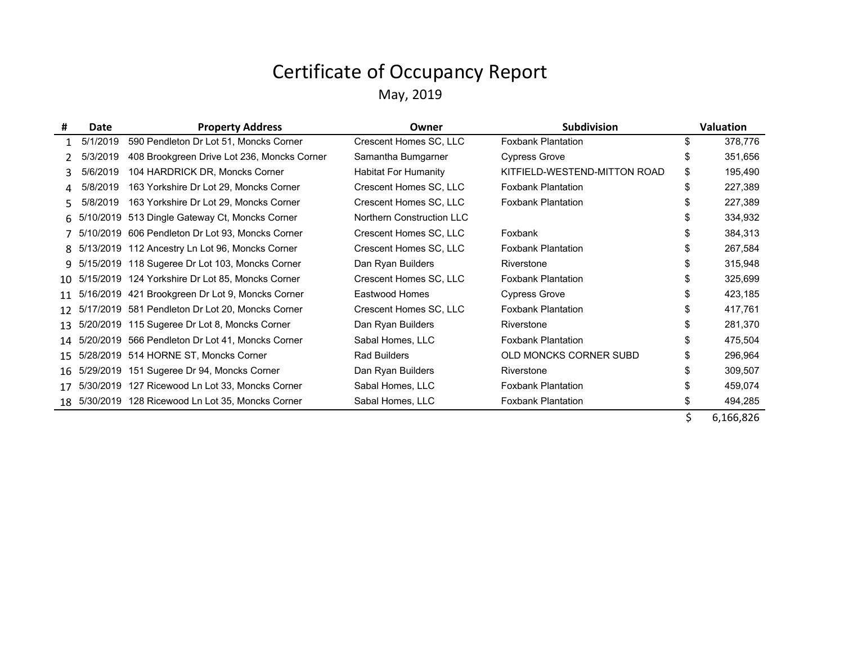| #               | Date     | <b>Property Address</b>                             | Owner                       | <b>Subdivision</b>           |     | <b>Valuation</b> |
|-----------------|----------|-----------------------------------------------------|-----------------------------|------------------------------|-----|------------------|
|                 | 5/1/2019 | 590 Pendleton Dr Lot 51, Moncks Corner              | Crescent Homes SC, LLC      | <b>Foxbank Plantation</b>    | \$  | 378,776          |
|                 | 5/3/2019 | 408 Brookgreen Drive Lot 236, Moncks Corner         | Samantha Bumgarner          | <b>Cypress Grove</b>         | \$  | 351,656          |
| 3               | 5/6/2019 | 104 HARDRICK DR, Moncks Corner                      | <b>Habitat For Humanity</b> | KITFIELD-WESTEND-MITTON ROAD | \$  | 195,490          |
|                 | 5/8/2019 | 163 Yorkshire Dr Lot 29, Moncks Corner              | Crescent Homes SC, LLC      | <b>Foxbank Plantation</b>    | \$  | 227,389          |
|                 | 5/8/2019 | 163 Yorkshire Dr Lot 29, Moncks Corner              | Crescent Homes SC, LLC      | <b>Foxbank Plantation</b>    |     | 227,389          |
|                 |          | 6 5/10/2019 513 Dingle Gateway Ct, Moncks Corner    | Northern Construction LLC   |                              |     | 334,932          |
|                 |          | 5/10/2019 606 Pendleton Dr Lot 93, Moncks Corner    | Crescent Homes SC, LLC      | Foxbank                      |     | 384,313          |
|                 |          | 8 5/13/2019 112 Ancestry Ln Lot 96, Moncks Corner   | Crescent Homes SC, LLC      | <b>Foxbank Plantation</b>    |     | 267,584          |
| 9               |          | 5/15/2019 118 Sugeree Dr Lot 103, Moncks Corner     | Dan Ryan Builders           | Riverstone                   |     | 315,948          |
| 10              |          | 5/15/2019 124 Yorkshire Dr Lot 85, Moncks Corner    | Crescent Homes SC, LLC      | <b>Foxbank Plantation</b>    |     | 325,699          |
| 11              |          | 5/16/2019 421 Brookgreen Dr Lot 9, Moncks Corner    | Eastwood Homes              | <b>Cypress Grove</b>         |     | 423,185          |
| 12 <sup>°</sup> |          | 5/17/2019 581 Pendleton Dr Lot 20, Moncks Corner    | Crescent Homes SC, LLC      | <b>Foxbank Plantation</b>    |     | 417,761          |
| 13              |          | 5/20/2019 115 Sugeree Dr Lot 8, Moncks Corner       | Dan Ryan Builders           | Riverstone                   |     | 281,370          |
|                 |          | 14 5/20/2019 566 Pendleton Dr Lot 41, Moncks Corner | Sabal Homes, LLC            | <b>Foxbank Plantation</b>    |     | 475,504          |
| 15              |          | 5/28/2019 514 HORNE ST, Moncks Corner               | <b>Rad Builders</b>         | OLD MONCKS CORNER SUBD       | \$. | 296,964          |
|                 |          | 16 5/29/2019 151 Sugeree Dr 94, Moncks Corner       | Dan Ryan Builders           | Riverstone                   | ß.  | 309,507          |
|                 |          | 5/30/2019 127 Ricewood Ln Lot 33, Moncks Corner     | Sabal Homes, LLC            | <b>Foxbank Plantation</b>    |     | 459,074          |
|                 |          | 18 5/30/2019 128 Ricewood Ln Lot 35, Moncks Corner  | Sabal Homes, LLC            | <b>Foxbank Plantation</b>    |     | 494,285          |
|                 |          |                                                     |                             |                              |     | 6,166,826        |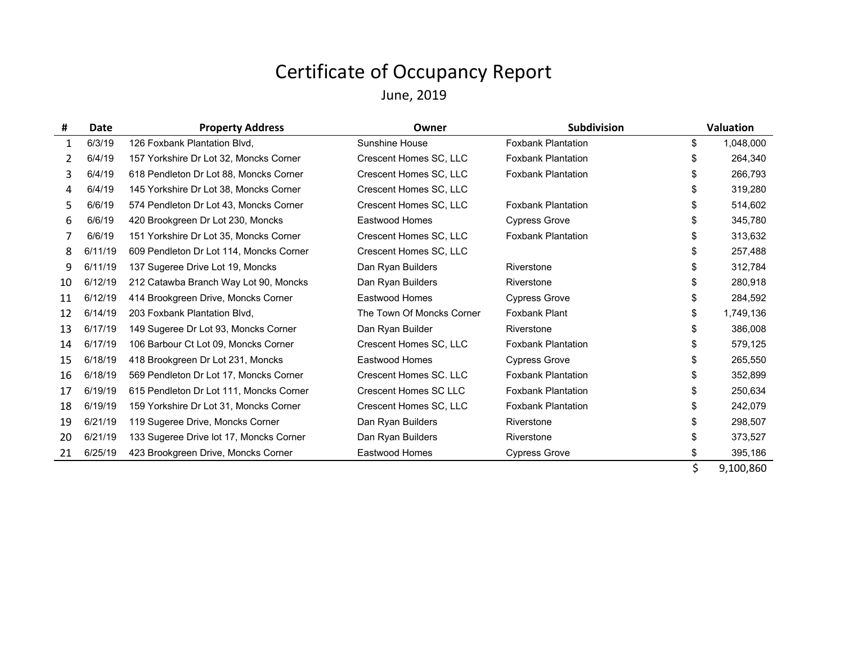June, 2019

| #  | <b>Date</b> | <b>Property Address</b>                 | Owner                        | Subdivision               |    | <b>Valuation</b> |
|----|-------------|-----------------------------------------|------------------------------|---------------------------|----|------------------|
| 1  | 6/3/19      | 126 Foxbank Plantation Blvd.            | Sunshine House               | <b>Foxbank Plantation</b> | \$ | 1,048,000        |
| 2  | 6/4/19      | 157 Yorkshire Dr Lot 32, Moncks Corner  | Crescent Homes SC, LLC       | <b>Foxbank Plantation</b> | \$ | 264,340          |
| 3  | 6/4/19      | 618 Pendleton Dr Lot 88, Moncks Corner  | Crescent Homes SC, LLC       | <b>Foxbank Plantation</b> | \$ | 266,793          |
| 4  | 6/4/19      | 145 Yorkshire Dr Lot 38, Moncks Corner  | Crescent Homes SC, LLC       |                           | \$ | 319,280          |
| 5  | 6/6/19      | 574 Pendleton Dr Lot 43, Moncks Corner  | Crescent Homes SC, LLC       | <b>Foxbank Plantation</b> | \$ | 514,602          |
| 6  | 6/6/19      | 420 Brookgreen Dr Lot 230, Moncks       | <b>Eastwood Homes</b>        | <b>Cypress Grove</b>      | \$ | 345,780          |
|    | 6/6/19      | 151 Yorkshire Dr Lot 35, Moncks Corner  | Crescent Homes SC, LLC       | <b>Foxbank Plantation</b> | \$ | 313,632          |
| 8  | 6/11/19     | 609 Pendleton Dr Lot 114, Moncks Corner | Crescent Homes SC, LLC       |                           | \$ | 257,488          |
| 9  | 6/11/19     | 137 Sugeree Drive Lot 19, Moncks        | Dan Ryan Builders            | Riverstone                | S  | 312,784          |
| 10 | 6/12/19     | 212 Catawba Branch Way Lot 90, Moncks   | Dan Ryan Builders            | Riverstone                | \$ | 280,918          |
| 11 | 6/12/19     | 414 Brookgreen Drive, Moncks Corner     | <b>Eastwood Homes</b>        | <b>Cypress Grove</b>      | \$ | 284,592          |
| 12 | 6/14/19     | 203 Foxbank Plantation Blvd,            | The Town Of Moncks Corner    | <b>Foxbank Plant</b>      | \$ | 1,749,136        |
| 13 | 6/17/19     | 149 Sugeree Dr Lot 93, Moncks Corner    | Dan Ryan Builder             | Riverstone                | \$ | 386,008          |
| 14 | 6/17/19     | 106 Barbour Ct Lot 09, Moncks Corner    | Crescent Homes SC, LLC       | <b>Foxbank Plantation</b> | S  | 579,125          |
| 15 | 6/18/19     | 418 Brookgreen Dr Lot 231, Moncks       | <b>Eastwood Homes</b>        | <b>Cypress Grove</b>      | \$ | 265,550          |
| 16 | 6/18/19     | 569 Pendleton Dr Lot 17, Moncks Corner  | Crescent Homes SC. LLC       | <b>Foxbank Plantation</b> | \$ | 352,899          |
| 17 | 6/19/19     | 615 Pendleton Dr Lot 111, Moncks Corner | <b>Crescent Homes SC LLC</b> | <b>Foxbank Plantation</b> | \$ | 250,634          |
| 18 | 6/19/19     | 159 Yorkshire Dr Lot 31, Moncks Corner  | Crescent Homes SC, LLC       | <b>Foxbank Plantation</b> | \$ | 242,079          |
| 19 | 6/21/19     | 119 Sugeree Drive, Moncks Corner        | Dan Ryan Builders            | Riverstone                | \$ | 298,507          |
| 20 | 6/21/19     | 133 Sugeree Drive lot 17, Moncks Corner | Dan Ryan Builders            | Riverstone                | \$ | 373,527          |
| 21 | 6/25/19     | 423 Brookgreen Drive, Moncks Corner     | <b>Eastwood Homes</b>        | <b>Cypress Grove</b>      | \$ | 395,186          |
|    |             |                                         |                              |                           | Ś. | 9,100,860        |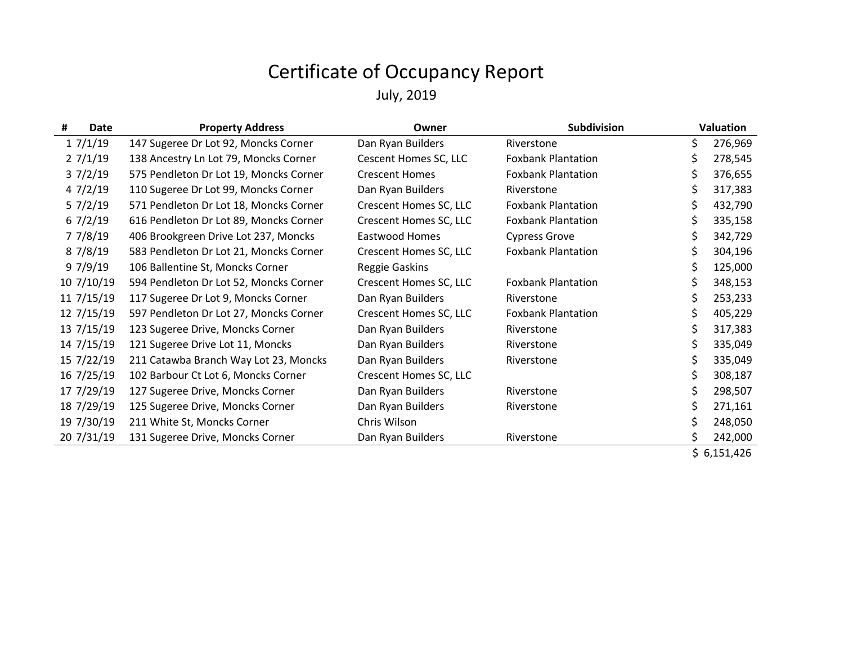| <b>Date</b><br># | <b>Property Address</b>                | Owner                  | Subdivision               | Valuation     |
|------------------|----------------------------------------|------------------------|---------------------------|---------------|
| 17/1/19          | 147 Sugeree Dr Lot 92, Moncks Corner   | Dan Ryan Builders      | Riverstone                | \$<br>276,969 |
| 27/1/19          | 138 Ancestry Ln Lot 79, Moncks Corner  | Cescent Homes SC, LLC  | <b>Foxbank Plantation</b> | \$<br>278,545 |
| 37/2/19          | 575 Pendleton Dr Lot 19, Moncks Corner | <b>Crescent Homes</b>  | <b>Foxbank Plantation</b> | \$<br>376,655 |
| 47/2/19          | 110 Sugeree Dr Lot 99, Moncks Corner   | Dan Ryan Builders      | Riverstone                | \$<br>317,383 |
| 57/2/19          | 571 Pendleton Dr Lot 18, Moncks Corner | Crescent Homes SC, LLC | <b>Foxbank Plantation</b> | \$<br>432,790 |
| 67/2/19          | 616 Pendleton Dr Lot 89, Moncks Corner | Crescent Homes SC, LLC | <b>Foxbank Plantation</b> | \$<br>335,158 |
| 7 7/8/19         | 406 Brookgreen Drive Lot 237, Moncks   | Eastwood Homes         | <b>Cypress Grove</b>      | \$<br>342,729 |
| 8 7/8/19         | 583 Pendleton Dr Lot 21, Moncks Corner | Crescent Homes SC, LLC | <b>Foxbank Plantation</b> | \$<br>304,196 |
| 97//19           | 106 Ballentine St, Moncks Corner       | Reggie Gaskins         |                           | \$<br>125,000 |
| 10 7/10/19       | 594 Pendleton Dr Lot 52, Moncks Corner | Crescent Homes SC, LLC | <b>Foxbank Plantation</b> | \$<br>348,153 |
| 11 7/15/19       | 117 Sugeree Dr Lot 9, Moncks Corner    | Dan Ryan Builders      | Riverstone                | \$<br>253,233 |
| 12 7/15/19       | 597 Pendleton Dr Lot 27, Moncks Corner | Crescent Homes SC, LLC | <b>Foxbank Plantation</b> | \$<br>405,229 |
| 13 7/15/19       | 123 Sugeree Drive, Moncks Corner       | Dan Ryan Builders      | Riverstone                | \$<br>317,383 |
| 14 7/15/19       | 121 Sugeree Drive Lot 11, Moncks       | Dan Ryan Builders      | Riverstone                | \$<br>335,049 |
| 15 7/22/19       | 211 Catawba Branch Way Lot 23, Moncks  | Dan Ryan Builders      | Riverstone                | \$<br>335,049 |
| 16 7/25/19       | 102 Barbour Ct Lot 6, Moncks Corner    | Crescent Homes SC, LLC |                           | \$<br>308,187 |
| 17 7/29/19       | 127 Sugeree Drive, Moncks Corner       | Dan Ryan Builders      | Riverstone                | \$<br>298,507 |
| 18 7/29/19       | 125 Sugeree Drive, Moncks Corner       | Dan Ryan Builders      | Riverstone                | \$<br>271,161 |
| 19 7/30/19       | 211 White St, Moncks Corner            | Chris Wilson           |                           | 248,050       |
| 20 7/31/19       | 131 Sugeree Drive, Moncks Corner       | Dan Ryan Builders      | Riverstone                | \$<br>242,000 |
|                  |                                        |                        |                           | \$6,151,426   |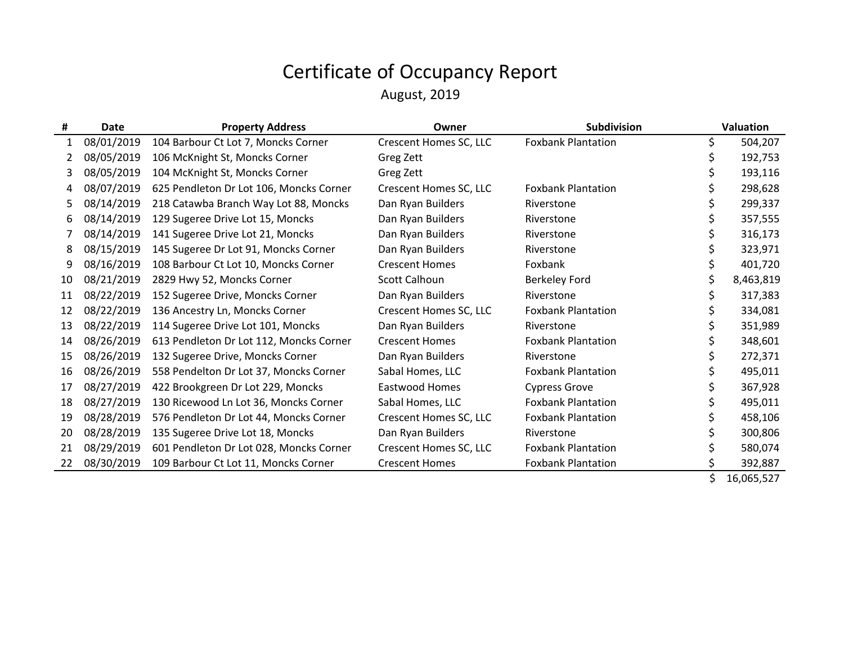August, 2019

| #  | <b>Date</b> | <b>Property Address</b>                 | Owner                  | Subdivision               | Valuation |
|----|-------------|-----------------------------------------|------------------------|---------------------------|-----------|
| 1  | 08/01/2019  | 104 Barbour Ct Lot 7, Moncks Corner     | Crescent Homes SC, LLC | <b>Foxbank Plantation</b> | 504,207   |
| 2  | 08/05/2019  | 106 McKnight St, Moncks Corner          | Greg Zett              |                           | 192,753   |
| 3  | 08/05/2019  | 104 McKnight St, Moncks Corner          | Greg Zett              |                           | 193,116   |
| 4  | 08/07/2019  | 625 Pendleton Dr Lot 106, Moncks Corner | Crescent Homes SC, LLC | <b>Foxbank Plantation</b> | 298,628   |
| 5. | 08/14/2019  | 218 Catawba Branch Way Lot 88, Moncks   | Dan Ryan Builders      | Riverstone                | 299,337   |
| 6  | 08/14/2019  | 129 Sugeree Drive Lot 15, Moncks        | Dan Ryan Builders      | Riverstone                | 357,555   |
|    | 08/14/2019  | 141 Sugeree Drive Lot 21, Moncks        | Dan Ryan Builders      | Riverstone                | 316,173   |
| 8  | 08/15/2019  | 145 Sugeree Dr Lot 91, Moncks Corner    | Dan Ryan Builders      | Riverstone                | 323,971   |
| 9  | 08/16/2019  | 108 Barbour Ct Lot 10, Moncks Corner    | <b>Crescent Homes</b>  | Foxbank                   | 401,720   |
| 10 | 08/21/2019  | 2829 Hwy 52, Moncks Corner              | Scott Calhoun          | <b>Berkeley Ford</b>      | 8,463,819 |
| 11 | 08/22/2019  | 152 Sugeree Drive, Moncks Corner        | Dan Ryan Builders      | Riverstone                | 317,383   |
| 12 | 08/22/2019  | 136 Ancestry Ln, Moncks Corner          | Crescent Homes SC, LLC | <b>Foxbank Plantation</b> | 334,081   |
| 13 | 08/22/2019  | 114 Sugeree Drive Lot 101, Moncks       | Dan Ryan Builders      | Riverstone                | 351,989   |
| 14 | 08/26/2019  | 613 Pendleton Dr Lot 112, Moncks Corner | <b>Crescent Homes</b>  | <b>Foxbank Plantation</b> | 348,601   |
| 15 | 08/26/2019  | 132 Sugeree Drive, Moncks Corner        | Dan Ryan Builders      | Riverstone                | 272,371   |
| 16 | 08/26/2019  | 558 Pendelton Dr Lot 37, Moncks Corner  | Sabal Homes, LLC       | <b>Foxbank Plantation</b> | 495,011   |
| 17 | 08/27/2019  | 422 Brookgreen Dr Lot 229, Moncks       | Eastwood Homes         | <b>Cypress Grove</b>      | 367,928   |
| 18 | 08/27/2019  | 130 Ricewood Ln Lot 36, Moncks Corner   | Sabal Homes, LLC       | <b>Foxbank Plantation</b> | 495,011   |
| 19 | 08/28/2019  | 576 Pendleton Dr Lot 44, Moncks Corner  | Crescent Homes SC, LLC | <b>Foxbank Plantation</b> | 458,106   |
| 20 | 08/28/2019  | 135 Sugeree Drive Lot 18, Moncks        | Dan Ryan Builders      | Riverstone                | 300,806   |
| 21 | 08/29/2019  | 601 Pendleton Dr Lot 028, Moncks Corner | Crescent Homes SC, LLC | <b>Foxbank Plantation</b> | 580,074   |
| 22 | 08/30/2019  | 109 Barbour Ct Lot 11, Moncks Corner    | <b>Crescent Homes</b>  | <b>Foxbank Plantation</b> | 392,887   |
|    |             |                                         |                        |                           | ACACF     |

 $$ 16,065,527$